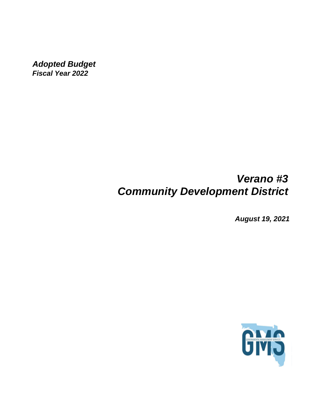*Adopted Budget Fiscal Year 2022*

# *Verano #3 Community Development District*

*August 19, 2021*

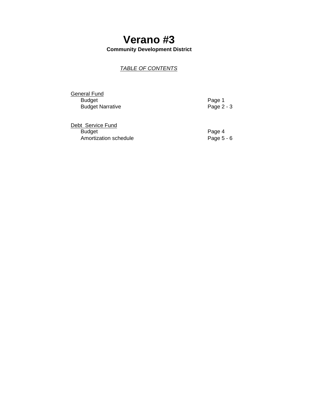## **Verano #3 Community Development District**

## *TABLE OF CONTENTS*

**General Fund** Example of the Budget<br>
Budget Narrative<br>
Budget Narrative<br>
Page 2 - 3 **Budget Narrative** 

| Debt Service Fund     |              |
|-----------------------|--------------|
| <b>Budget</b>         | Page 4       |
| Amortization schedule | Page $5 - 6$ |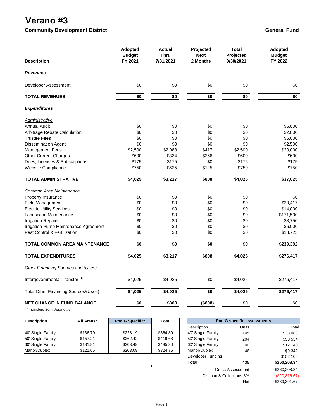# **Verano #3**

**Community Development District General Fundom Community Development District General Fundom Community Development District** 

| <b>Description</b>                          | <b>Adopted</b><br><b>Budget</b><br>FY 2021 | <b>Actual</b><br><b>Thru</b><br>7/31/2021 | Projected<br><b>Next</b><br>2 Months | <b>Total</b><br>Projected<br>9/30/2021 | Adopted<br><b>Budget</b><br>FY 2022 |
|---------------------------------------------|--------------------------------------------|-------------------------------------------|--------------------------------------|----------------------------------------|-------------------------------------|
| <b>Revenues</b>                             |                                            |                                           |                                      |                                        |                                     |
| Developer Assessment                        | \$0                                        | \$0                                       | \$0                                  | \$0                                    | \$0                                 |
| <b>TOTAL REVENUES</b>                       | \$0                                        | \$0                                       | \$0                                  | \$0                                    | \$0                                 |
| <b>Expenditures</b>                         |                                            |                                           |                                      |                                        |                                     |
| <u>Administrative</u>                       |                                            |                                           |                                      |                                        |                                     |
| <b>Annual Audit</b>                         | \$0                                        | \$0                                       | \$0                                  | \$0                                    | \$5,000                             |
| Arbitrage Rebate Calculation                | \$0                                        | \$0                                       | \$0                                  | \$0                                    | \$2,000                             |
| <b>Trustee Fees</b>                         | \$0                                        | \$0                                       | \$0                                  | \$0                                    | \$6,000                             |
| <b>Dissemination Agent</b>                  | \$0                                        | \$0                                       | \$0                                  | \$0                                    | \$2,500                             |
| Management Fees                             | \$2,500                                    | \$2,083                                   | \$417                                | \$2,500                                | \$20,000                            |
| <b>Other Current Charges</b>                | \$600                                      | \$334                                     | \$266                                | \$600                                  | \$600                               |
| Dues, Licenses & Subscriptions              | \$175                                      | \$175                                     | \$0                                  | \$175                                  | \$175                               |
| Website Compliance                          | \$750                                      | \$625                                     | \$125                                | \$750                                  | \$750                               |
| TOTAL ADMINISTRATIVE                        | \$4,025                                    | \$3,217                                   | \$808                                | $\sqrt{4,025}$                         | \$37,025                            |
| Common Area Maintenance                     |                                            |                                           |                                      |                                        |                                     |
| Property Insurance                          | \$0                                        | \$0                                       | \$0                                  | \$0                                    | \$0                                 |
| <b>Field Management</b>                     | \$0                                        | \$0                                       | \$0                                  | \$0                                    | \$20,417                            |
| <b>Electric Utility Services</b>            | \$0                                        | \$0                                       | \$0                                  | \$0                                    | \$14,000                            |
| Landscape Maintenance                       | \$0                                        | \$0                                       | \$0                                  | \$0                                    | \$171,500                           |
| <b>Irrigation Repairs</b>                   | \$0                                        | \$0                                       | \$0                                  | \$0                                    | \$8,750                             |
| Irrigation Pump Maintenance Agreement       | \$0                                        | \$0                                       | \$0                                  | \$0                                    | \$6,000                             |
| <b>Pest Control &amp; Fertilization</b>     | \$0                                        | \$0                                       | \$0                                  | \$0                                    | \$18,725                            |
| <b>TOTAL COMMON AREA MAINTENANCE</b>        | \$0                                        | \$0                                       | \$0                                  | \$0                                    | \$239,392                           |
| <b>TOTAL EXPENDITURES</b>                   | \$4,025                                    | \$3,217                                   | \$808                                | \$4,025                                | \$276,417                           |
| Other Financing Sources and (Uses)          |                                            |                                           |                                      |                                        |                                     |
| Intergovernmental Transfer <sup>(1)</sup>   | \$4,025                                    | \$4,025                                   | \$0                                  | \$4,025                                | \$276,417                           |
| <b>Total Other Financing Sources/(Uses)</b> | \$4,025                                    | \$4,025                                   | \$0                                  | \$4,025                                | \$276,417                           |
| <b>NET CHANGE IN FUND BALANCE</b>           | $\sqrt{6}$                                 | \$808                                     | $($ \$808)                           | $\sqrt{6}$                             | \$0                                 |

(1) Transfers from Verano #5

| <b>Description</b> | All Areas* | Pod G Specific* | Total    | Pod G specific assessments |       |          |
|--------------------|------------|-----------------|----------|----------------------------|-------|----------|
|                    |            |                 |          | Description                | Units | Tota     |
| 40' Single Family  | \$136.70   | \$228.19        | \$364.89 | 40' Single Family          | 145   | \$33,088 |
| 50' Single Family  | \$157.21   | \$262.42        | \$419.63 | 50' Single Family          | 204   | \$53,534 |
| 60' Single Family  | \$181.81   | \$303.49        | \$485.30 | 60' Single Family          | 40    | \$12,140 |
| Manor/Duplex       | \$121.66   | \$203.09        | \$324.75 | Manor/Duplex               | 46    | \$9,342  |

|                          | <b>Pod G specific assessments</b> |               |
|--------------------------|-----------------------------------|---------------|
| Description              | Units                             | Total         |
| 40' Single Family        | 145                               | \$33,088      |
| 50' Single Family        | 204                               | \$53,534      |
| 60' Single Family        | 40                                | \$12,140      |
| Manor/Duplex             | 46                                | \$9,342       |
| Developer Funding        |                                   | \$152,105     |
| Total                    | 435                               | \$260,208.34  |
|                          | Gross Assessment                  | \$260,208.34  |
| Discount& Collections 8% |                                   | (\$20,816.67) |
|                          | Net                               | \$239,391.67  |

 $\hat{\mathbf{I}}$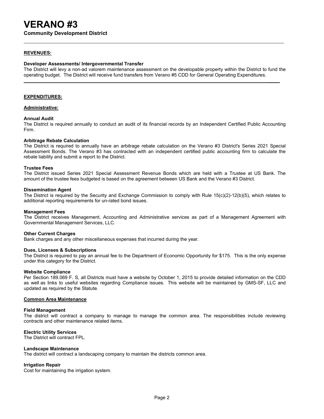**Community Development District**

### **REVENUES:**

#### **Developer Assessments/ Intergovernmental Transfer**

The District will levy a non-ad valorem maintenance assessment on the developable property within the District to fund the operating budget. The District will receive fund transfers from Verano #5 CDD for General Operating Expenditures.

**\_\_\_\_\_**

#### **EXPENDITURES:**

### **Administrative:**

#### **Annual Audit**

The District is required annually to conduct an audit of its financial records by an Independent Certified Public Accounting Firm.

#### **Arbitrage Rebate Calculation**

The District is required to annually have an arbitrage rebate calculation on the Verano #3 District's Series 2021 Special Assessment Bonds. The Verano #3 has contracted with an independent certified public accounting firm to calculate the rebate liability and submit a report to the District.

#### **Trustee Fees**

The District issued Series 2021 Special Assessment Revenue Bonds which are held with a Trustee at US Bank. The amount of the trustee fees budgeted is based on the agreement between US Bank and the Verano #3 District.

#### **Dissemination Agent**

The District is required by the Security and Exchange Commission to comply with Rule 15(c)(2)-12(b)(5), which relates to additional reporting requirements for un-rated bond issues.

#### **Management Fees**

The District receives Management, Accounting and Administrative services as part of a Management Agreement with Governmental Management Services, LLC.

#### **Other Current Charges**

Bank charges and any other miscellaneous expenses that incurred during the year.

#### **Dues, Licenses & Subscriptions**

The District is required to pay an annual fee to the Department of Economic Opportunity for \$175. This is the only expense under this category for the District.

#### **Website Compliance**

Per Section 189.069 F. S, all Districts must have a website by October 1, 2015 to provide detailed information on the CDD as well as links to useful websites regarding Compliance issues. This website will be maintained by GMS-SF, LLC and updated as required by the Statute.

### **Common Area Maintenance**

#### **Field Management**

The district will contract a company to manage to manage the common area. The responsibilities include reviewing contracts and other maintenance related items.

### **Electric Utility Services**

The District will contract FPL.

#### **Landscape Maintenance**

The district will contract a landscaping company to maintain the districts common area.

#### **Irrigation Repair**

Cost for maintaining the irrigation system.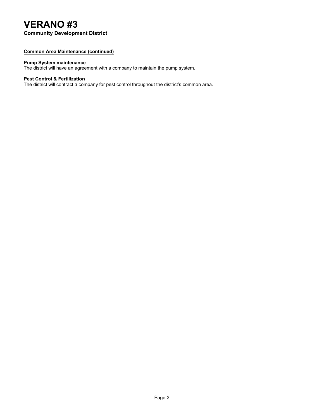# **VERANO #3**

**Community Development District**

### **Common Area Maintenance (continued)**

### **Pump System maintenance**

The district will have an agreement with a company to maintain the pump system.

## **Pest Control & Fertilization**

The district will contract a company for pest control throughout the district's common area.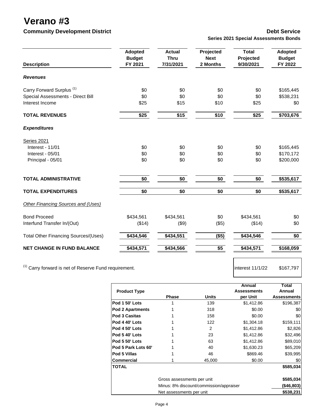**Verano #3**

## **Community Development District Community Development District Community Debt Service**

|  |  | <b>Series 2021 Special Assessments Bonds</b> |  |
|--|--|----------------------------------------------|--|
|  |  |                                              |  |

| <b>Description</b>                          | <b>Adopted</b><br><b>Budget</b><br>FY 2021 | <b>Actual</b><br><b>Thru</b><br>7/31/2021 | Projected<br><b>Next</b><br>2 Months | <b>Total</b><br>Projected<br>9/30/2021 | <b>Adopted</b><br><b>Budget</b><br>FY 2022 |
|---------------------------------------------|--------------------------------------------|-------------------------------------------|--------------------------------------|----------------------------------------|--------------------------------------------|
| <b>Revenues</b>                             |                                            |                                           |                                      |                                        |                                            |
| Carry Forward Surplus <sup>(1)</sup>        | \$0                                        | \$0                                       | \$0                                  | \$0                                    | \$165,445                                  |
| Special Assessments - Direct Bill           | \$0                                        | \$0                                       | \$0                                  | \$0                                    | \$538,231                                  |
| Interest Income                             | \$25                                       | \$15                                      | \$10                                 | \$25                                   | \$0                                        |
| <b>TOTAL REVENUES</b>                       | \$25                                       | \$15                                      | \$10                                 | \$25                                   | \$703,676                                  |
| <b>Expenditures</b>                         |                                            |                                           |                                      |                                        |                                            |
| <b>Series 2021</b>                          |                                            |                                           |                                      |                                        |                                            |
| Interest - 11/01                            | \$0                                        | \$0                                       | \$0                                  | \$0                                    | \$165,445                                  |
| Interest - 05/01                            | \$0                                        | \$0                                       | \$0                                  | \$0                                    | \$170,172                                  |
| Principal - 05/01                           | \$0                                        | \$0                                       | \$0                                  | \$0                                    | \$200,000                                  |
| <b>TOTAL ADMINISTRATIVE</b>                 | \$0                                        | \$0                                       | \$0                                  | \$0                                    | \$535,617                                  |
| <b>TOTAL EXPENDITURES</b>                   | \$0                                        | \$0                                       | \$0                                  | \$0                                    | \$535,617                                  |
| Other Financing Sources and (Uses)          |                                            |                                           |                                      |                                        |                                            |
| <b>Bond Proceed</b>                         | \$434,561                                  | \$434,561                                 | \$0                                  | \$434,561                              | \$0                                        |
| Interfund Transfer In/(Out)                 | (\$14)                                     | (\$9)                                     | (\$5)                                | (\$14)                                 | \$0                                        |
| <b>Total Other Financing Sources/(Uses)</b> | \$434,546                                  | \$434,551                                 | (\$5)                                | \$434,546                              | \$0                                        |
| <b>NET CHANGE IN FUND BALANCE</b>           | \$434,571                                  | \$434,566                                 | \$5                                  | \$434,571                              | \$168,059                                  |
|                                             |                                            |                                           |                                      |                                        |                                            |

<sup>(1)</sup> Carry forward is net of Reserve Fund requirement.  $\frac{1}{2}$  interest 11/1/22 \$167,797

|                         |                                         |               | Annual             | Total              |  |
|-------------------------|-----------------------------------------|---------------|--------------------|--------------------|--|
| <b>Product Type</b>     |                                         |               | <b>Assessments</b> | Annual             |  |
|                         | <b>Phase</b>                            | <b>Units</b>  | per Unit           | <b>Assessments</b> |  |
| Pod 1 50' Lots          |                                         | 139           | \$1,412.86         | \$196,387          |  |
| <b>Pod 2 Apartments</b> |                                         | 318           | \$0.00             | \$0                |  |
| <b>Pod 3 Casitas</b>    |                                         | 158           | \$0.00             | \$0                |  |
| Pod 4 40' Lots          |                                         | 122           | \$1,304.18         | \$159,111          |  |
| Pod 4 50' Lots          |                                         | $\mathcal{P}$ | \$1,412.86         | \$2,826            |  |
| Pod 5 40' Lots          |                                         | 23            | \$1,412.86         | \$32,496           |  |
| Pod 5 50' Lots          |                                         | 63            | \$1,412.86         | \$89,010           |  |
| Pod 5 Park Lots 60'     |                                         | 40            | \$1,630.23         | \$65,209           |  |
| <b>Pod 5 Villas</b>     |                                         | 46            | \$869.46           | \$39,995           |  |
| <b>Commercial</b>       |                                         | 45,000        | \$0.00             | \$0                |  |
| <b>TOTAL</b>            |                                         |               |                    | \$585,034          |  |
|                         | Gross assessments per unit              |               |                    | \$585,034          |  |
|                         | Minus: 8% discount/commission/appraiser |               |                    |                    |  |
|                         | Net assessments per unit                |               |                    | \$538,231          |  |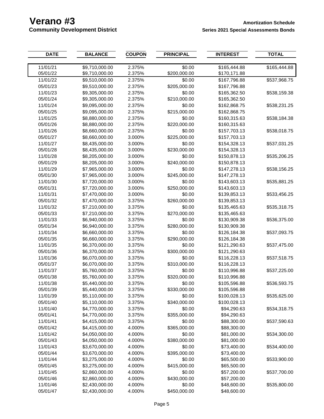| 11/01/21<br>\$9,710,000.00<br>\$0.00<br>2.375%<br>\$165,444.88<br>\$165,444.88<br>05/01/22<br>\$9,710,000.00<br>2.375%<br>\$200,000.00<br>\$170,171.88<br>11/01/22<br>\$9,510,000.00<br>2.375%<br>\$0.00<br>\$167,796.88<br>\$537,968.75<br>\$205,000.00<br>05/01/23<br>\$9,510,000.00<br>2.375%<br>\$167,796.88<br>11/01/23<br>\$9,305,000.00<br>2.375%<br>\$0.00<br>\$165,362.50<br>\$538,159.38<br>05/01/24<br>\$9,305,000.00<br>2.375%<br>\$210,000.00<br>\$165,362.50<br>11/01/24<br>\$9,095,000.00<br>2.375%<br>\$0.00<br>\$162,868.75<br>\$538,231.25<br>05/01/25<br>\$9,095,000.00<br>2.375%<br>\$215,000.00<br>\$162,868.75<br>11/01/25<br>\$8,880,000.00<br>2.375%<br>\$0.00<br>\$160,315.63<br>\$538,184.38<br>05/01/26<br>\$8,880,000.00<br>2.375%<br>\$220,000.00<br>\$160,315.63<br>11/01/26<br>\$8,660,000.00<br>2.375%<br>\$0.00<br>\$157,703.13<br>\$538,018.75<br>05/01/27<br>\$8,660,000.00<br>3.000%<br>\$225,000.00<br>\$157,703.13<br>11/01/27<br>\$8,435,000.00<br>3.000%<br>\$0.00<br>\$154,328.13<br>\$537,031.25<br>05/01/28<br>\$8,435,000.00<br>3.000%<br>\$230,000.00<br>\$154,328.13<br>11/01/28<br>\$8,205,000.00<br>3.000%<br>\$0.00<br>\$150,878.13<br>\$535,206.25<br>\$240,000.00<br>05/01/29<br>\$8,205,000.00<br>3.000%<br>\$150,878.13<br>11/01/29<br>3.000%<br>\$0.00<br>\$7,965,000.00<br>\$147,278.13<br>\$538,156.25<br>05/01/30<br>3.000%<br>\$245,000.00<br>\$7,965,000.00<br>\$147,278.13<br>11/01/30<br>3.000%<br>\$0.00<br>\$143,603.13<br>\$7,720,000.00<br>\$535,881.25<br>05/01/31<br>3.000%<br>\$250,000.00<br>\$7,720,000.00<br>\$143,603.13<br>11/01/31<br>\$7,470,000.00<br>3.000%<br>\$0.00<br>\$139,853.13<br>\$533,456.25<br>\$260,000.00<br>05/01/32<br>\$7,470,000.00<br>3.375%<br>\$139,853.13<br>11/01/32<br>\$7,210,000.00<br>3.375%<br>\$0.00<br>\$535,318.75<br>\$135,465.63<br>05/01/33<br>\$7,210,000.00<br>3.375%<br>\$270,000.00<br>\$135,465.63<br>11/01/33<br>\$6,940,000.00<br>3.375%<br>\$0.00<br>\$536,375.00<br>\$130,909.38<br>\$280,000.00<br>05/01/34<br>\$6,940,000.00<br>3.375%<br>\$130,909.38<br>11/01/34<br>\$6,660,000.00<br>\$0.00<br>3.375%<br>\$126,184.38<br>\$537,093.75<br>\$290,000.00<br>05/01/35<br>\$6,660,000.00<br>3.375%<br>\$126,184.38<br>11/01/35<br>\$6,370,000.00<br>3.375%<br>\$0.00<br>\$121,290.63<br>\$537,475.00<br>05/01/36<br>\$6,370,000.00<br>\$300,000.00<br>3.375%<br>\$121,290.63<br>11/01/36<br>\$6,070,000.00<br>3.375%<br>\$0.00<br>\$116,228.13<br>\$537,518.75<br>\$310,000.00<br>05/01/37<br>\$6,070,000.00<br>3.375%<br>\$116,228.13<br>11/01/37<br>\$5,760,000.00<br>\$0.00<br>\$110,996.88<br>3.375%<br>\$537,225.00<br>05/01/38<br>\$5,760,000.00<br>3.375%<br>\$320,000.00<br>\$110,996.88<br>11/01/38<br>\$5,440,000.00<br>\$0.00<br>3.375%<br>\$105,596.88<br>\$536,593.75<br>\$5,440,000.00<br>\$330,000.00<br>\$105,596.88<br>05/01/39<br>3.375%<br>11/01/39<br>\$5,110,000.00<br>\$0.00<br>3.375%<br>\$100,028.13<br>\$535,625.00<br>05/01/40<br>\$5,110,000.00<br>\$340,000.00<br>\$100,028.13<br>3.375%<br>11/01/40<br>\$4,770,000.00<br>\$0.00<br>3.375%<br>\$94,290.63<br>\$534,318.75<br>05/01/41<br>\$4,770,000.00<br>\$355,000.00<br>3.375%<br>\$94,290.63<br>11/01/41<br>\$4,415,000.00<br>\$0.00<br>\$88,300.00<br>3.375%<br>\$537,590.63<br>05/01/42<br>\$4,415,000.00<br>\$365,000.00<br>\$88,300.00<br>4.000%<br>11/01/42<br>\$4,050,000.00<br>\$0.00<br>\$81,000.00<br>4.000%<br>\$534,300.00<br>05/01/43<br>\$4,050,000.00<br>4.000%<br>\$380,000.00<br>\$81,000.00<br>11/01/43<br>\$3,670,000.00<br>\$0.00<br>\$73,400.00<br>4.000%<br>\$534,400.00<br>05/01/44<br>\$3,670,000.00<br>\$395,000.00<br>\$73,400.00<br>4.000%<br>11/01/44<br>\$3,275,000.00<br>\$0.00<br>\$65,500.00<br>4.000%<br>\$533,900.00<br>05/01/45<br>\$3,275,000.00<br>\$415,000.00<br>4.000%<br>\$65,500.00<br>11/01/45<br>\$2,860,000.00<br>\$0.00<br>4.000%<br>\$57,200.00<br>\$537,700.00<br>05/01/46<br>\$2,860,000.00<br>\$430,000.00<br>\$57,200.00<br>4.000%<br>11/01/46<br>\$2,430,000.00<br>\$0.00<br>\$48,600.00<br>4.000%<br>\$535,800.00 | <b>DATE</b> | <b>BALANCE</b> | <b>COUPON</b> | <b>PRINCIPAL</b> | <b>INTEREST</b> | <b>TOTAL</b> |
|-----------------------------------------------------------------------------------------------------------------------------------------------------------------------------------------------------------------------------------------------------------------------------------------------------------------------------------------------------------------------------------------------------------------------------------------------------------------------------------------------------------------------------------------------------------------------------------------------------------------------------------------------------------------------------------------------------------------------------------------------------------------------------------------------------------------------------------------------------------------------------------------------------------------------------------------------------------------------------------------------------------------------------------------------------------------------------------------------------------------------------------------------------------------------------------------------------------------------------------------------------------------------------------------------------------------------------------------------------------------------------------------------------------------------------------------------------------------------------------------------------------------------------------------------------------------------------------------------------------------------------------------------------------------------------------------------------------------------------------------------------------------------------------------------------------------------------------------------------------------------------------------------------------------------------------------------------------------------------------------------------------------------------------------------------------------------------------------------------------------------------------------------------------------------------------------------------------------------------------------------------------------------------------------------------------------------------------------------------------------------------------------------------------------------------------------------------------------------------------------------------------------------------------------------------------------------------------------------------------------------------------------------------------------------------------------------------------------------------------------------------------------------------------------------------------------------------------------------------------------------------------------------------------------------------------------------------------------------------------------------------------------------------------------------------------------------------------------------------------------------------------------------------------------------------------------------------------------------------------------------------------------------------------------------------------------------------------------------------------------------------------------------------------------------------------------------------------------------------------------------------------------------------------------------------------------------------------------------------------------------------------------------------------------------------------------------------------------------------------------------------------------------------------------------------------------------------------------------------------------------------------------------------------------------------------------------------------------------------------------------------------------------------------------------------------------------------|-------------|----------------|---------------|------------------|-----------------|--------------|
|                                                                                                                                                                                                                                                                                                                                                                                                                                                                                                                                                                                                                                                                                                                                                                                                                                                                                                                                                                                                                                                                                                                                                                                                                                                                                                                                                                                                                                                                                                                                                                                                                                                                                                                                                                                                                                                                                                                                                                                                                                                                                                                                                                                                                                                                                                                                                                                                                                                                                                                                                                                                                                                                                                                                                                                                                                                                                                                                                                                                                                                                                                                                                                                                                                                                                                                                                                                                                                                                                                                                                                                                                                                                                                                                                                                                                                                                                                                                                                                                                                                                             |             |                |               |                  |                 |              |
|                                                                                                                                                                                                                                                                                                                                                                                                                                                                                                                                                                                                                                                                                                                                                                                                                                                                                                                                                                                                                                                                                                                                                                                                                                                                                                                                                                                                                                                                                                                                                                                                                                                                                                                                                                                                                                                                                                                                                                                                                                                                                                                                                                                                                                                                                                                                                                                                                                                                                                                                                                                                                                                                                                                                                                                                                                                                                                                                                                                                                                                                                                                                                                                                                                                                                                                                                                                                                                                                                                                                                                                                                                                                                                                                                                                                                                                                                                                                                                                                                                                                             |             |                |               |                  |                 |              |
|                                                                                                                                                                                                                                                                                                                                                                                                                                                                                                                                                                                                                                                                                                                                                                                                                                                                                                                                                                                                                                                                                                                                                                                                                                                                                                                                                                                                                                                                                                                                                                                                                                                                                                                                                                                                                                                                                                                                                                                                                                                                                                                                                                                                                                                                                                                                                                                                                                                                                                                                                                                                                                                                                                                                                                                                                                                                                                                                                                                                                                                                                                                                                                                                                                                                                                                                                                                                                                                                                                                                                                                                                                                                                                                                                                                                                                                                                                                                                                                                                                                                             |             |                |               |                  |                 |              |
|                                                                                                                                                                                                                                                                                                                                                                                                                                                                                                                                                                                                                                                                                                                                                                                                                                                                                                                                                                                                                                                                                                                                                                                                                                                                                                                                                                                                                                                                                                                                                                                                                                                                                                                                                                                                                                                                                                                                                                                                                                                                                                                                                                                                                                                                                                                                                                                                                                                                                                                                                                                                                                                                                                                                                                                                                                                                                                                                                                                                                                                                                                                                                                                                                                                                                                                                                                                                                                                                                                                                                                                                                                                                                                                                                                                                                                                                                                                                                                                                                                                                             |             |                |               |                  |                 |              |
|                                                                                                                                                                                                                                                                                                                                                                                                                                                                                                                                                                                                                                                                                                                                                                                                                                                                                                                                                                                                                                                                                                                                                                                                                                                                                                                                                                                                                                                                                                                                                                                                                                                                                                                                                                                                                                                                                                                                                                                                                                                                                                                                                                                                                                                                                                                                                                                                                                                                                                                                                                                                                                                                                                                                                                                                                                                                                                                                                                                                                                                                                                                                                                                                                                                                                                                                                                                                                                                                                                                                                                                                                                                                                                                                                                                                                                                                                                                                                                                                                                                                             |             |                |               |                  |                 |              |
|                                                                                                                                                                                                                                                                                                                                                                                                                                                                                                                                                                                                                                                                                                                                                                                                                                                                                                                                                                                                                                                                                                                                                                                                                                                                                                                                                                                                                                                                                                                                                                                                                                                                                                                                                                                                                                                                                                                                                                                                                                                                                                                                                                                                                                                                                                                                                                                                                                                                                                                                                                                                                                                                                                                                                                                                                                                                                                                                                                                                                                                                                                                                                                                                                                                                                                                                                                                                                                                                                                                                                                                                                                                                                                                                                                                                                                                                                                                                                                                                                                                                             |             |                |               |                  |                 |              |
|                                                                                                                                                                                                                                                                                                                                                                                                                                                                                                                                                                                                                                                                                                                                                                                                                                                                                                                                                                                                                                                                                                                                                                                                                                                                                                                                                                                                                                                                                                                                                                                                                                                                                                                                                                                                                                                                                                                                                                                                                                                                                                                                                                                                                                                                                                                                                                                                                                                                                                                                                                                                                                                                                                                                                                                                                                                                                                                                                                                                                                                                                                                                                                                                                                                                                                                                                                                                                                                                                                                                                                                                                                                                                                                                                                                                                                                                                                                                                                                                                                                                             |             |                |               |                  |                 |              |
|                                                                                                                                                                                                                                                                                                                                                                                                                                                                                                                                                                                                                                                                                                                                                                                                                                                                                                                                                                                                                                                                                                                                                                                                                                                                                                                                                                                                                                                                                                                                                                                                                                                                                                                                                                                                                                                                                                                                                                                                                                                                                                                                                                                                                                                                                                                                                                                                                                                                                                                                                                                                                                                                                                                                                                                                                                                                                                                                                                                                                                                                                                                                                                                                                                                                                                                                                                                                                                                                                                                                                                                                                                                                                                                                                                                                                                                                                                                                                                                                                                                                             |             |                |               |                  |                 |              |
|                                                                                                                                                                                                                                                                                                                                                                                                                                                                                                                                                                                                                                                                                                                                                                                                                                                                                                                                                                                                                                                                                                                                                                                                                                                                                                                                                                                                                                                                                                                                                                                                                                                                                                                                                                                                                                                                                                                                                                                                                                                                                                                                                                                                                                                                                                                                                                                                                                                                                                                                                                                                                                                                                                                                                                                                                                                                                                                                                                                                                                                                                                                                                                                                                                                                                                                                                                                                                                                                                                                                                                                                                                                                                                                                                                                                                                                                                                                                                                                                                                                                             |             |                |               |                  |                 |              |
|                                                                                                                                                                                                                                                                                                                                                                                                                                                                                                                                                                                                                                                                                                                                                                                                                                                                                                                                                                                                                                                                                                                                                                                                                                                                                                                                                                                                                                                                                                                                                                                                                                                                                                                                                                                                                                                                                                                                                                                                                                                                                                                                                                                                                                                                                                                                                                                                                                                                                                                                                                                                                                                                                                                                                                                                                                                                                                                                                                                                                                                                                                                                                                                                                                                                                                                                                                                                                                                                                                                                                                                                                                                                                                                                                                                                                                                                                                                                                                                                                                                                             |             |                |               |                  |                 |              |
|                                                                                                                                                                                                                                                                                                                                                                                                                                                                                                                                                                                                                                                                                                                                                                                                                                                                                                                                                                                                                                                                                                                                                                                                                                                                                                                                                                                                                                                                                                                                                                                                                                                                                                                                                                                                                                                                                                                                                                                                                                                                                                                                                                                                                                                                                                                                                                                                                                                                                                                                                                                                                                                                                                                                                                                                                                                                                                                                                                                                                                                                                                                                                                                                                                                                                                                                                                                                                                                                                                                                                                                                                                                                                                                                                                                                                                                                                                                                                                                                                                                                             |             |                |               |                  |                 |              |
|                                                                                                                                                                                                                                                                                                                                                                                                                                                                                                                                                                                                                                                                                                                                                                                                                                                                                                                                                                                                                                                                                                                                                                                                                                                                                                                                                                                                                                                                                                                                                                                                                                                                                                                                                                                                                                                                                                                                                                                                                                                                                                                                                                                                                                                                                                                                                                                                                                                                                                                                                                                                                                                                                                                                                                                                                                                                                                                                                                                                                                                                                                                                                                                                                                                                                                                                                                                                                                                                                                                                                                                                                                                                                                                                                                                                                                                                                                                                                                                                                                                                             |             |                |               |                  |                 |              |
|                                                                                                                                                                                                                                                                                                                                                                                                                                                                                                                                                                                                                                                                                                                                                                                                                                                                                                                                                                                                                                                                                                                                                                                                                                                                                                                                                                                                                                                                                                                                                                                                                                                                                                                                                                                                                                                                                                                                                                                                                                                                                                                                                                                                                                                                                                                                                                                                                                                                                                                                                                                                                                                                                                                                                                                                                                                                                                                                                                                                                                                                                                                                                                                                                                                                                                                                                                                                                                                                                                                                                                                                                                                                                                                                                                                                                                                                                                                                                                                                                                                                             |             |                |               |                  |                 |              |
|                                                                                                                                                                                                                                                                                                                                                                                                                                                                                                                                                                                                                                                                                                                                                                                                                                                                                                                                                                                                                                                                                                                                                                                                                                                                                                                                                                                                                                                                                                                                                                                                                                                                                                                                                                                                                                                                                                                                                                                                                                                                                                                                                                                                                                                                                                                                                                                                                                                                                                                                                                                                                                                                                                                                                                                                                                                                                                                                                                                                                                                                                                                                                                                                                                                                                                                                                                                                                                                                                                                                                                                                                                                                                                                                                                                                                                                                                                                                                                                                                                                                             |             |                |               |                  |                 |              |
|                                                                                                                                                                                                                                                                                                                                                                                                                                                                                                                                                                                                                                                                                                                                                                                                                                                                                                                                                                                                                                                                                                                                                                                                                                                                                                                                                                                                                                                                                                                                                                                                                                                                                                                                                                                                                                                                                                                                                                                                                                                                                                                                                                                                                                                                                                                                                                                                                                                                                                                                                                                                                                                                                                                                                                                                                                                                                                                                                                                                                                                                                                                                                                                                                                                                                                                                                                                                                                                                                                                                                                                                                                                                                                                                                                                                                                                                                                                                                                                                                                                                             |             |                |               |                  |                 |              |
|                                                                                                                                                                                                                                                                                                                                                                                                                                                                                                                                                                                                                                                                                                                                                                                                                                                                                                                                                                                                                                                                                                                                                                                                                                                                                                                                                                                                                                                                                                                                                                                                                                                                                                                                                                                                                                                                                                                                                                                                                                                                                                                                                                                                                                                                                                                                                                                                                                                                                                                                                                                                                                                                                                                                                                                                                                                                                                                                                                                                                                                                                                                                                                                                                                                                                                                                                                                                                                                                                                                                                                                                                                                                                                                                                                                                                                                                                                                                                                                                                                                                             |             |                |               |                  |                 |              |
|                                                                                                                                                                                                                                                                                                                                                                                                                                                                                                                                                                                                                                                                                                                                                                                                                                                                                                                                                                                                                                                                                                                                                                                                                                                                                                                                                                                                                                                                                                                                                                                                                                                                                                                                                                                                                                                                                                                                                                                                                                                                                                                                                                                                                                                                                                                                                                                                                                                                                                                                                                                                                                                                                                                                                                                                                                                                                                                                                                                                                                                                                                                                                                                                                                                                                                                                                                                                                                                                                                                                                                                                                                                                                                                                                                                                                                                                                                                                                                                                                                                                             |             |                |               |                  |                 |              |
|                                                                                                                                                                                                                                                                                                                                                                                                                                                                                                                                                                                                                                                                                                                                                                                                                                                                                                                                                                                                                                                                                                                                                                                                                                                                                                                                                                                                                                                                                                                                                                                                                                                                                                                                                                                                                                                                                                                                                                                                                                                                                                                                                                                                                                                                                                                                                                                                                                                                                                                                                                                                                                                                                                                                                                                                                                                                                                                                                                                                                                                                                                                                                                                                                                                                                                                                                                                                                                                                                                                                                                                                                                                                                                                                                                                                                                                                                                                                                                                                                                                                             |             |                |               |                  |                 |              |
|                                                                                                                                                                                                                                                                                                                                                                                                                                                                                                                                                                                                                                                                                                                                                                                                                                                                                                                                                                                                                                                                                                                                                                                                                                                                                                                                                                                                                                                                                                                                                                                                                                                                                                                                                                                                                                                                                                                                                                                                                                                                                                                                                                                                                                                                                                                                                                                                                                                                                                                                                                                                                                                                                                                                                                                                                                                                                                                                                                                                                                                                                                                                                                                                                                                                                                                                                                                                                                                                                                                                                                                                                                                                                                                                                                                                                                                                                                                                                                                                                                                                             |             |                |               |                  |                 |              |
|                                                                                                                                                                                                                                                                                                                                                                                                                                                                                                                                                                                                                                                                                                                                                                                                                                                                                                                                                                                                                                                                                                                                                                                                                                                                                                                                                                                                                                                                                                                                                                                                                                                                                                                                                                                                                                                                                                                                                                                                                                                                                                                                                                                                                                                                                                                                                                                                                                                                                                                                                                                                                                                                                                                                                                                                                                                                                                                                                                                                                                                                                                                                                                                                                                                                                                                                                                                                                                                                                                                                                                                                                                                                                                                                                                                                                                                                                                                                                                                                                                                                             |             |                |               |                  |                 |              |
|                                                                                                                                                                                                                                                                                                                                                                                                                                                                                                                                                                                                                                                                                                                                                                                                                                                                                                                                                                                                                                                                                                                                                                                                                                                                                                                                                                                                                                                                                                                                                                                                                                                                                                                                                                                                                                                                                                                                                                                                                                                                                                                                                                                                                                                                                                                                                                                                                                                                                                                                                                                                                                                                                                                                                                                                                                                                                                                                                                                                                                                                                                                                                                                                                                                                                                                                                                                                                                                                                                                                                                                                                                                                                                                                                                                                                                                                                                                                                                                                                                                                             |             |                |               |                  |                 |              |
|                                                                                                                                                                                                                                                                                                                                                                                                                                                                                                                                                                                                                                                                                                                                                                                                                                                                                                                                                                                                                                                                                                                                                                                                                                                                                                                                                                                                                                                                                                                                                                                                                                                                                                                                                                                                                                                                                                                                                                                                                                                                                                                                                                                                                                                                                                                                                                                                                                                                                                                                                                                                                                                                                                                                                                                                                                                                                                                                                                                                                                                                                                                                                                                                                                                                                                                                                                                                                                                                                                                                                                                                                                                                                                                                                                                                                                                                                                                                                                                                                                                                             |             |                |               |                  |                 |              |
|                                                                                                                                                                                                                                                                                                                                                                                                                                                                                                                                                                                                                                                                                                                                                                                                                                                                                                                                                                                                                                                                                                                                                                                                                                                                                                                                                                                                                                                                                                                                                                                                                                                                                                                                                                                                                                                                                                                                                                                                                                                                                                                                                                                                                                                                                                                                                                                                                                                                                                                                                                                                                                                                                                                                                                                                                                                                                                                                                                                                                                                                                                                                                                                                                                                                                                                                                                                                                                                                                                                                                                                                                                                                                                                                                                                                                                                                                                                                                                                                                                                                             |             |                |               |                  |                 |              |
|                                                                                                                                                                                                                                                                                                                                                                                                                                                                                                                                                                                                                                                                                                                                                                                                                                                                                                                                                                                                                                                                                                                                                                                                                                                                                                                                                                                                                                                                                                                                                                                                                                                                                                                                                                                                                                                                                                                                                                                                                                                                                                                                                                                                                                                                                                                                                                                                                                                                                                                                                                                                                                                                                                                                                                                                                                                                                                                                                                                                                                                                                                                                                                                                                                                                                                                                                                                                                                                                                                                                                                                                                                                                                                                                                                                                                                                                                                                                                                                                                                                                             |             |                |               |                  |                 |              |
|                                                                                                                                                                                                                                                                                                                                                                                                                                                                                                                                                                                                                                                                                                                                                                                                                                                                                                                                                                                                                                                                                                                                                                                                                                                                                                                                                                                                                                                                                                                                                                                                                                                                                                                                                                                                                                                                                                                                                                                                                                                                                                                                                                                                                                                                                                                                                                                                                                                                                                                                                                                                                                                                                                                                                                                                                                                                                                                                                                                                                                                                                                                                                                                                                                                                                                                                                                                                                                                                                                                                                                                                                                                                                                                                                                                                                                                                                                                                                                                                                                                                             |             |                |               |                  |                 |              |
|                                                                                                                                                                                                                                                                                                                                                                                                                                                                                                                                                                                                                                                                                                                                                                                                                                                                                                                                                                                                                                                                                                                                                                                                                                                                                                                                                                                                                                                                                                                                                                                                                                                                                                                                                                                                                                                                                                                                                                                                                                                                                                                                                                                                                                                                                                                                                                                                                                                                                                                                                                                                                                                                                                                                                                                                                                                                                                                                                                                                                                                                                                                                                                                                                                                                                                                                                                                                                                                                                                                                                                                                                                                                                                                                                                                                                                                                                                                                                                                                                                                                             |             |                |               |                  |                 |              |
|                                                                                                                                                                                                                                                                                                                                                                                                                                                                                                                                                                                                                                                                                                                                                                                                                                                                                                                                                                                                                                                                                                                                                                                                                                                                                                                                                                                                                                                                                                                                                                                                                                                                                                                                                                                                                                                                                                                                                                                                                                                                                                                                                                                                                                                                                                                                                                                                                                                                                                                                                                                                                                                                                                                                                                                                                                                                                                                                                                                                                                                                                                                                                                                                                                                                                                                                                                                                                                                                                                                                                                                                                                                                                                                                                                                                                                                                                                                                                                                                                                                                             |             |                |               |                  |                 |              |
|                                                                                                                                                                                                                                                                                                                                                                                                                                                                                                                                                                                                                                                                                                                                                                                                                                                                                                                                                                                                                                                                                                                                                                                                                                                                                                                                                                                                                                                                                                                                                                                                                                                                                                                                                                                                                                                                                                                                                                                                                                                                                                                                                                                                                                                                                                                                                                                                                                                                                                                                                                                                                                                                                                                                                                                                                                                                                                                                                                                                                                                                                                                                                                                                                                                                                                                                                                                                                                                                                                                                                                                                                                                                                                                                                                                                                                                                                                                                                                                                                                                                             |             |                |               |                  |                 |              |
|                                                                                                                                                                                                                                                                                                                                                                                                                                                                                                                                                                                                                                                                                                                                                                                                                                                                                                                                                                                                                                                                                                                                                                                                                                                                                                                                                                                                                                                                                                                                                                                                                                                                                                                                                                                                                                                                                                                                                                                                                                                                                                                                                                                                                                                                                                                                                                                                                                                                                                                                                                                                                                                                                                                                                                                                                                                                                                                                                                                                                                                                                                                                                                                                                                                                                                                                                                                                                                                                                                                                                                                                                                                                                                                                                                                                                                                                                                                                                                                                                                                                             |             |                |               |                  |                 |              |
|                                                                                                                                                                                                                                                                                                                                                                                                                                                                                                                                                                                                                                                                                                                                                                                                                                                                                                                                                                                                                                                                                                                                                                                                                                                                                                                                                                                                                                                                                                                                                                                                                                                                                                                                                                                                                                                                                                                                                                                                                                                                                                                                                                                                                                                                                                                                                                                                                                                                                                                                                                                                                                                                                                                                                                                                                                                                                                                                                                                                                                                                                                                                                                                                                                                                                                                                                                                                                                                                                                                                                                                                                                                                                                                                                                                                                                                                                                                                                                                                                                                                             |             |                |               |                  |                 |              |
|                                                                                                                                                                                                                                                                                                                                                                                                                                                                                                                                                                                                                                                                                                                                                                                                                                                                                                                                                                                                                                                                                                                                                                                                                                                                                                                                                                                                                                                                                                                                                                                                                                                                                                                                                                                                                                                                                                                                                                                                                                                                                                                                                                                                                                                                                                                                                                                                                                                                                                                                                                                                                                                                                                                                                                                                                                                                                                                                                                                                                                                                                                                                                                                                                                                                                                                                                                                                                                                                                                                                                                                                                                                                                                                                                                                                                                                                                                                                                                                                                                                                             |             |                |               |                  |                 |              |
|                                                                                                                                                                                                                                                                                                                                                                                                                                                                                                                                                                                                                                                                                                                                                                                                                                                                                                                                                                                                                                                                                                                                                                                                                                                                                                                                                                                                                                                                                                                                                                                                                                                                                                                                                                                                                                                                                                                                                                                                                                                                                                                                                                                                                                                                                                                                                                                                                                                                                                                                                                                                                                                                                                                                                                                                                                                                                                                                                                                                                                                                                                                                                                                                                                                                                                                                                                                                                                                                                                                                                                                                                                                                                                                                                                                                                                                                                                                                                                                                                                                                             |             |                |               |                  |                 |              |
|                                                                                                                                                                                                                                                                                                                                                                                                                                                                                                                                                                                                                                                                                                                                                                                                                                                                                                                                                                                                                                                                                                                                                                                                                                                                                                                                                                                                                                                                                                                                                                                                                                                                                                                                                                                                                                                                                                                                                                                                                                                                                                                                                                                                                                                                                                                                                                                                                                                                                                                                                                                                                                                                                                                                                                                                                                                                                                                                                                                                                                                                                                                                                                                                                                                                                                                                                                                                                                                                                                                                                                                                                                                                                                                                                                                                                                                                                                                                                                                                                                                                             |             |                |               |                  |                 |              |
|                                                                                                                                                                                                                                                                                                                                                                                                                                                                                                                                                                                                                                                                                                                                                                                                                                                                                                                                                                                                                                                                                                                                                                                                                                                                                                                                                                                                                                                                                                                                                                                                                                                                                                                                                                                                                                                                                                                                                                                                                                                                                                                                                                                                                                                                                                                                                                                                                                                                                                                                                                                                                                                                                                                                                                                                                                                                                                                                                                                                                                                                                                                                                                                                                                                                                                                                                                                                                                                                                                                                                                                                                                                                                                                                                                                                                                                                                                                                                                                                                                                                             |             |                |               |                  |                 |              |
|                                                                                                                                                                                                                                                                                                                                                                                                                                                                                                                                                                                                                                                                                                                                                                                                                                                                                                                                                                                                                                                                                                                                                                                                                                                                                                                                                                                                                                                                                                                                                                                                                                                                                                                                                                                                                                                                                                                                                                                                                                                                                                                                                                                                                                                                                                                                                                                                                                                                                                                                                                                                                                                                                                                                                                                                                                                                                                                                                                                                                                                                                                                                                                                                                                                                                                                                                                                                                                                                                                                                                                                                                                                                                                                                                                                                                                                                                                                                                                                                                                                                             |             |                |               |                  |                 |              |
|                                                                                                                                                                                                                                                                                                                                                                                                                                                                                                                                                                                                                                                                                                                                                                                                                                                                                                                                                                                                                                                                                                                                                                                                                                                                                                                                                                                                                                                                                                                                                                                                                                                                                                                                                                                                                                                                                                                                                                                                                                                                                                                                                                                                                                                                                                                                                                                                                                                                                                                                                                                                                                                                                                                                                                                                                                                                                                                                                                                                                                                                                                                                                                                                                                                                                                                                                                                                                                                                                                                                                                                                                                                                                                                                                                                                                                                                                                                                                                                                                                                                             |             |                |               |                  |                 |              |
|                                                                                                                                                                                                                                                                                                                                                                                                                                                                                                                                                                                                                                                                                                                                                                                                                                                                                                                                                                                                                                                                                                                                                                                                                                                                                                                                                                                                                                                                                                                                                                                                                                                                                                                                                                                                                                                                                                                                                                                                                                                                                                                                                                                                                                                                                                                                                                                                                                                                                                                                                                                                                                                                                                                                                                                                                                                                                                                                                                                                                                                                                                                                                                                                                                                                                                                                                                                                                                                                                                                                                                                                                                                                                                                                                                                                                                                                                                                                                                                                                                                                             |             |                |               |                  |                 |              |
|                                                                                                                                                                                                                                                                                                                                                                                                                                                                                                                                                                                                                                                                                                                                                                                                                                                                                                                                                                                                                                                                                                                                                                                                                                                                                                                                                                                                                                                                                                                                                                                                                                                                                                                                                                                                                                                                                                                                                                                                                                                                                                                                                                                                                                                                                                                                                                                                                                                                                                                                                                                                                                                                                                                                                                                                                                                                                                                                                                                                                                                                                                                                                                                                                                                                                                                                                                                                                                                                                                                                                                                                                                                                                                                                                                                                                                                                                                                                                                                                                                                                             |             |                |               |                  |                 |              |
|                                                                                                                                                                                                                                                                                                                                                                                                                                                                                                                                                                                                                                                                                                                                                                                                                                                                                                                                                                                                                                                                                                                                                                                                                                                                                                                                                                                                                                                                                                                                                                                                                                                                                                                                                                                                                                                                                                                                                                                                                                                                                                                                                                                                                                                                                                                                                                                                                                                                                                                                                                                                                                                                                                                                                                                                                                                                                                                                                                                                                                                                                                                                                                                                                                                                                                                                                                                                                                                                                                                                                                                                                                                                                                                                                                                                                                                                                                                                                                                                                                                                             |             |                |               |                  |                 |              |
|                                                                                                                                                                                                                                                                                                                                                                                                                                                                                                                                                                                                                                                                                                                                                                                                                                                                                                                                                                                                                                                                                                                                                                                                                                                                                                                                                                                                                                                                                                                                                                                                                                                                                                                                                                                                                                                                                                                                                                                                                                                                                                                                                                                                                                                                                                                                                                                                                                                                                                                                                                                                                                                                                                                                                                                                                                                                                                                                                                                                                                                                                                                                                                                                                                                                                                                                                                                                                                                                                                                                                                                                                                                                                                                                                                                                                                                                                                                                                                                                                                                                             |             |                |               |                  |                 |              |
|                                                                                                                                                                                                                                                                                                                                                                                                                                                                                                                                                                                                                                                                                                                                                                                                                                                                                                                                                                                                                                                                                                                                                                                                                                                                                                                                                                                                                                                                                                                                                                                                                                                                                                                                                                                                                                                                                                                                                                                                                                                                                                                                                                                                                                                                                                                                                                                                                                                                                                                                                                                                                                                                                                                                                                                                                                                                                                                                                                                                                                                                                                                                                                                                                                                                                                                                                                                                                                                                                                                                                                                                                                                                                                                                                                                                                                                                                                                                                                                                                                                                             |             |                |               |                  |                 |              |
|                                                                                                                                                                                                                                                                                                                                                                                                                                                                                                                                                                                                                                                                                                                                                                                                                                                                                                                                                                                                                                                                                                                                                                                                                                                                                                                                                                                                                                                                                                                                                                                                                                                                                                                                                                                                                                                                                                                                                                                                                                                                                                                                                                                                                                                                                                                                                                                                                                                                                                                                                                                                                                                                                                                                                                                                                                                                                                                                                                                                                                                                                                                                                                                                                                                                                                                                                                                                                                                                                                                                                                                                                                                                                                                                                                                                                                                                                                                                                                                                                                                                             |             |                |               |                  |                 |              |
|                                                                                                                                                                                                                                                                                                                                                                                                                                                                                                                                                                                                                                                                                                                                                                                                                                                                                                                                                                                                                                                                                                                                                                                                                                                                                                                                                                                                                                                                                                                                                                                                                                                                                                                                                                                                                                                                                                                                                                                                                                                                                                                                                                                                                                                                                                                                                                                                                                                                                                                                                                                                                                                                                                                                                                                                                                                                                                                                                                                                                                                                                                                                                                                                                                                                                                                                                                                                                                                                                                                                                                                                                                                                                                                                                                                                                                                                                                                                                                                                                                                                             |             |                |               |                  |                 |              |
|                                                                                                                                                                                                                                                                                                                                                                                                                                                                                                                                                                                                                                                                                                                                                                                                                                                                                                                                                                                                                                                                                                                                                                                                                                                                                                                                                                                                                                                                                                                                                                                                                                                                                                                                                                                                                                                                                                                                                                                                                                                                                                                                                                                                                                                                                                                                                                                                                                                                                                                                                                                                                                                                                                                                                                                                                                                                                                                                                                                                                                                                                                                                                                                                                                                                                                                                                                                                                                                                                                                                                                                                                                                                                                                                                                                                                                                                                                                                                                                                                                                                             |             |                |               |                  |                 |              |
|                                                                                                                                                                                                                                                                                                                                                                                                                                                                                                                                                                                                                                                                                                                                                                                                                                                                                                                                                                                                                                                                                                                                                                                                                                                                                                                                                                                                                                                                                                                                                                                                                                                                                                                                                                                                                                                                                                                                                                                                                                                                                                                                                                                                                                                                                                                                                                                                                                                                                                                                                                                                                                                                                                                                                                                                                                                                                                                                                                                                                                                                                                                                                                                                                                                                                                                                                                                                                                                                                                                                                                                                                                                                                                                                                                                                                                                                                                                                                                                                                                                                             |             |                |               |                  |                 |              |
|                                                                                                                                                                                                                                                                                                                                                                                                                                                                                                                                                                                                                                                                                                                                                                                                                                                                                                                                                                                                                                                                                                                                                                                                                                                                                                                                                                                                                                                                                                                                                                                                                                                                                                                                                                                                                                                                                                                                                                                                                                                                                                                                                                                                                                                                                                                                                                                                                                                                                                                                                                                                                                                                                                                                                                                                                                                                                                                                                                                                                                                                                                                                                                                                                                                                                                                                                                                                                                                                                                                                                                                                                                                                                                                                                                                                                                                                                                                                                                                                                                                                             |             |                |               |                  |                 |              |
|                                                                                                                                                                                                                                                                                                                                                                                                                                                                                                                                                                                                                                                                                                                                                                                                                                                                                                                                                                                                                                                                                                                                                                                                                                                                                                                                                                                                                                                                                                                                                                                                                                                                                                                                                                                                                                                                                                                                                                                                                                                                                                                                                                                                                                                                                                                                                                                                                                                                                                                                                                                                                                                                                                                                                                                                                                                                                                                                                                                                                                                                                                                                                                                                                                                                                                                                                                                                                                                                                                                                                                                                                                                                                                                                                                                                                                                                                                                                                                                                                                                                             |             |                |               |                  |                 |              |
|                                                                                                                                                                                                                                                                                                                                                                                                                                                                                                                                                                                                                                                                                                                                                                                                                                                                                                                                                                                                                                                                                                                                                                                                                                                                                                                                                                                                                                                                                                                                                                                                                                                                                                                                                                                                                                                                                                                                                                                                                                                                                                                                                                                                                                                                                                                                                                                                                                                                                                                                                                                                                                                                                                                                                                                                                                                                                                                                                                                                                                                                                                                                                                                                                                                                                                                                                                                                                                                                                                                                                                                                                                                                                                                                                                                                                                                                                                                                                                                                                                                                             |             |                |               |                  |                 |              |
|                                                                                                                                                                                                                                                                                                                                                                                                                                                                                                                                                                                                                                                                                                                                                                                                                                                                                                                                                                                                                                                                                                                                                                                                                                                                                                                                                                                                                                                                                                                                                                                                                                                                                                                                                                                                                                                                                                                                                                                                                                                                                                                                                                                                                                                                                                                                                                                                                                                                                                                                                                                                                                                                                                                                                                                                                                                                                                                                                                                                                                                                                                                                                                                                                                                                                                                                                                                                                                                                                                                                                                                                                                                                                                                                                                                                                                                                                                                                                                                                                                                                             |             |                |               |                  |                 |              |
|                                                                                                                                                                                                                                                                                                                                                                                                                                                                                                                                                                                                                                                                                                                                                                                                                                                                                                                                                                                                                                                                                                                                                                                                                                                                                                                                                                                                                                                                                                                                                                                                                                                                                                                                                                                                                                                                                                                                                                                                                                                                                                                                                                                                                                                                                                                                                                                                                                                                                                                                                                                                                                                                                                                                                                                                                                                                                                                                                                                                                                                                                                                                                                                                                                                                                                                                                                                                                                                                                                                                                                                                                                                                                                                                                                                                                                                                                                                                                                                                                                                                             |             |                |               |                  |                 |              |
|                                                                                                                                                                                                                                                                                                                                                                                                                                                                                                                                                                                                                                                                                                                                                                                                                                                                                                                                                                                                                                                                                                                                                                                                                                                                                                                                                                                                                                                                                                                                                                                                                                                                                                                                                                                                                                                                                                                                                                                                                                                                                                                                                                                                                                                                                                                                                                                                                                                                                                                                                                                                                                                                                                                                                                                                                                                                                                                                                                                                                                                                                                                                                                                                                                                                                                                                                                                                                                                                                                                                                                                                                                                                                                                                                                                                                                                                                                                                                                                                                                                                             |             |                |               |                  |                 |              |
|                                                                                                                                                                                                                                                                                                                                                                                                                                                                                                                                                                                                                                                                                                                                                                                                                                                                                                                                                                                                                                                                                                                                                                                                                                                                                                                                                                                                                                                                                                                                                                                                                                                                                                                                                                                                                                                                                                                                                                                                                                                                                                                                                                                                                                                                                                                                                                                                                                                                                                                                                                                                                                                                                                                                                                                                                                                                                                                                                                                                                                                                                                                                                                                                                                                                                                                                                                                                                                                                                                                                                                                                                                                                                                                                                                                                                                                                                                                                                                                                                                                                             | 05/01/47    | \$2,430,000.00 | 4.000%        | \$450,000.00     | \$48,600.00     |              |